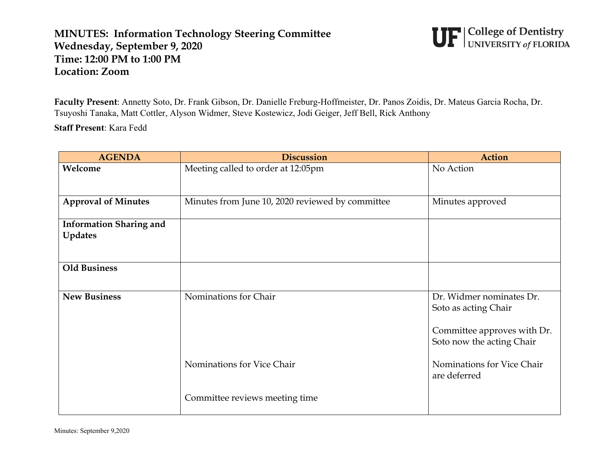## **MINUTES: Information Technology Steering Committee Wednesday, September 9, 2020 Time: 12:00 PM to 1:00 PM Location: Zoom**



**Faculty Present**: Annetty Soto, Dr. Frank Gibson, Dr. Danielle Freburg-Hoffmeister, Dr. Panos Zoidis, Dr. Mateus Garcia Rocha, Dr. Tsuyoshi Tanaka, Matt Cottler, Alyson Widmer, Steve Kostewicz, Jodi Geiger, Jeff Bell, Rick Anthony

**Staff Present**: Kara Fedd

| <b>AGENDA</b>                  | <b>Discussion</b>                                | <b>Action</b>                                                                                                |
|--------------------------------|--------------------------------------------------|--------------------------------------------------------------------------------------------------------------|
| Welcome                        | Meeting called to order at 12:05pm               | No Action                                                                                                    |
| <b>Approval of Minutes</b>     | Minutes from June 10, 2020 reviewed by committee | Minutes approved                                                                                             |
| <b>Information Sharing and</b> |                                                  |                                                                                                              |
| <b>Updates</b>                 |                                                  |                                                                                                              |
| <b>Old Business</b>            |                                                  |                                                                                                              |
| <b>New Business</b>            | Nominations for Chair                            | Dr. Widmer nominates Dr.<br>Soto as acting Chair<br>Committee approves with Dr.<br>Soto now the acting Chair |
|                                | Nominations for Vice Chair                       | Nominations for Vice Chair<br>are deferred                                                                   |
|                                | Committee reviews meeting time                   |                                                                                                              |